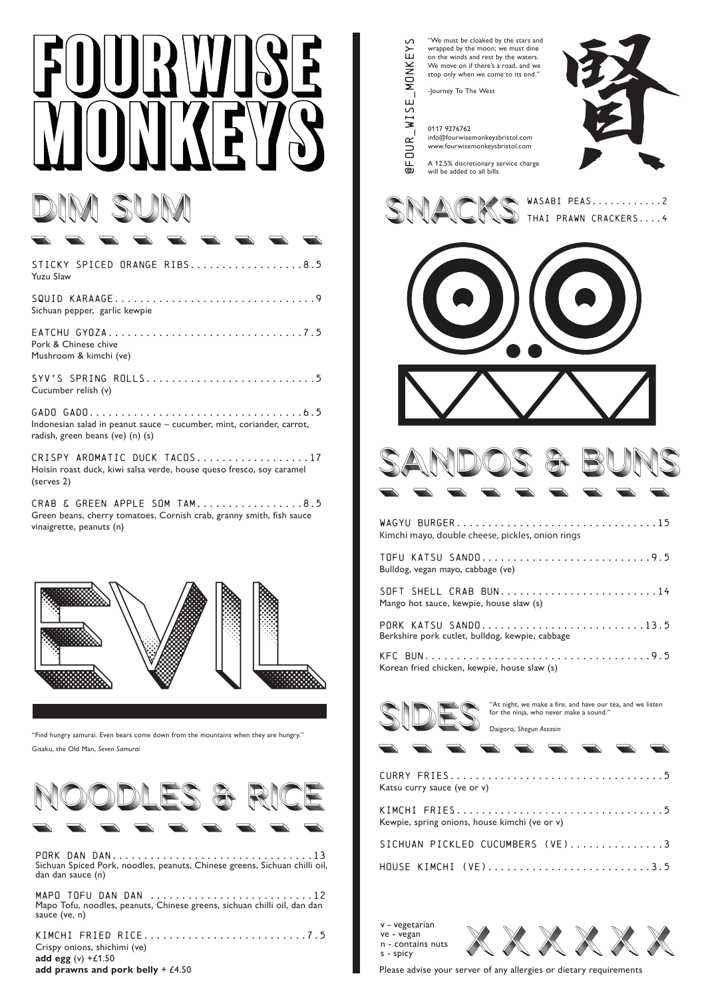# IM SUM

| <b>Second</b><br>$\equiv$                                                                                 |
|-----------------------------------------------------------------------------------------------------------|
| STICKY SPICED ORANGE RIBS8.5<br>Yuzu Slaw                                                                 |
| SQUID KARAAGE9<br>Sichuan pepper, garlic kewpie                                                           |
| EATCHU GYOZA7.5<br>Pork & Chinese chive<br>Mushroom & kimchi (ve)                                         |
| Cucumber relish (v)                                                                                       |
| Indonesian salad in peanut sauce - cucumber, mint, coriander, carrot,<br>radish, green beans (ve) (n) (s) |
| CRISPY AROMATIC DUCK TACOS17                                                                              |

Hoisin roast duck, kiwi salsa verde, house queso fresco, soy caramel (serves 2)

CRAB & GREEN APPLE SOM TAM.................8.5 Green beans, cherry tomatoes, Cornish crab, granny smith, fish sauce vinaigrette, peanuts (n)



"Find hungry samurai. Even bears come down from the mountains when they are hungry." Gisaku, the Old Man, *Seven Samurai*



Sichuan Spiced Pork, noodles, peanuts, Chinese greens, Sichuan chilli oil, dan dan sauce (n)

MAPO TOFU DAN DAN ..........................12 Mapo Tofu, noodles, peanuts, Chinese greens, sichuan chilli oil, dan dan sauce (ve, n)

KIMCHI fried rice..........................7.5 Crispy onions, shichimi (ve) **add egg** (v) +£1.50 **add prawns and pork belly** + £4.50

| @FOUR_WISE_MONKEY | "We must be cloaked by the stars and<br>wrapped by the moon; we must dine<br>on the winds and rest by the waters.<br>We move on if there's a road, and we<br>stop only when we come to its end."<br>-Journey To The West<br>0117 9276762<br>info@fourwisemonkeysbristol.com<br>www.fourwisemonkeysbristol.com<br>A 12.5% discretionary service charge<br>will be added to all bills. |
|-------------------|--------------------------------------------------------------------------------------------------------------------------------------------------------------------------------------------------------------------------------------------------------------------------------------------------------------------------------------------------------------------------------------|
|                   | WASABI PEAS2<br>THAI PRAWN CRACKERS4                                                                                                                                                                                                                                                                                                                                                 |
|                   |                                                                                                                                                                                                                                                                                                                                                                                      |
|                   |                                                                                                                                                                                                                                                                                                                                                                                      |
|                   | WAGYU BURGER<br>. 15<br>Kimchi mayo, double cheese, pickles, onion rings                                                                                                                                                                                                                                                                                                             |
|                   | TOFU KATSU SANDO9.5<br>Bulldog, vegan mayo, cabbage (ve)<br>SOFT SHELL CRAB BUN14                                                                                                                                                                                                                                                                                                    |
|                   | Mango hot sauce, kewpie, house slaw (s)<br>PORK KATSU SANDO13.5<br>Berkshire pork cutlet, bulldog, kewpie, cabbage                                                                                                                                                                                                                                                                   |
|                   | Korean fried chicken, kewpie, house slaw (s)                                                                                                                                                                                                                                                                                                                                         |
|                   | "At night, we make a fire, and have our tea, and we listen<br>for the ninja, who never make a sound."<br>Daigoro, Shogun Assasin                                                                                                                                                                                                                                                     |
|                   |                                                                                                                                                                                                                                                                                                                                                                                      |
|                   | Katsu curry sauce (ve or v)<br>KIMCHI FRIES5                                                                                                                                                                                                                                                                                                                                         |
|                   | Kewpie, spring onions, house kimchi (ve or v)<br>SICHUAN PICKLED CUCUMBERS (VE)3                                                                                                                                                                                                                                                                                                     |
|                   | HOUSE KIMCHI (VE)3.5                                                                                                                                                                                                                                                                                                                                                                 |

v - vegetarian ve - vegan n - contains nuts s - spicy



Please advise your server of any allergies or dietary requirements